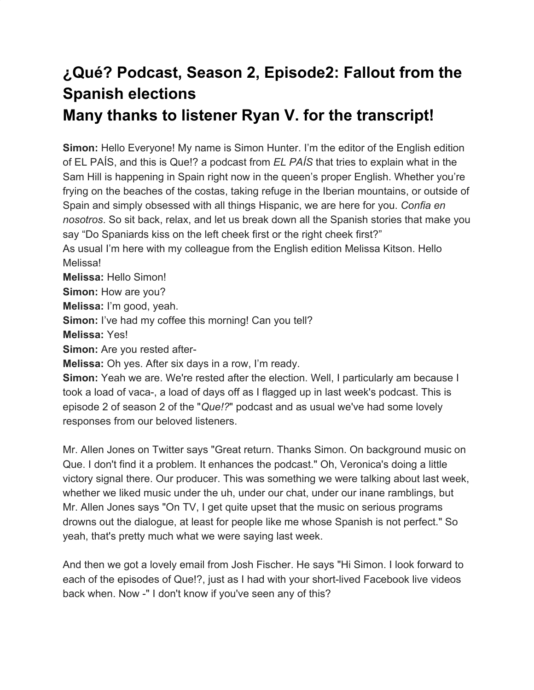## **¿Qué? Podcast, Season 2, Episode2: Fallout from the Spanish elections**

## **Many thanks to listener Ryan V. for the transcript!**

**Simon:** Hello Everyone! My name is Simon Hunter. I'm the editor of the English edition of EL PAÍS, and this is Que!? a podcast from *EL PAÍS* that tries to explain what in the Sam Hill is happening in Spain right now in the queen's proper English. Whether you're frying on the beaches of the costas, taking refuge in the Iberian mountains, or outside of Spain and simply obsessed with all things Hispanic, we are here for you. *Confia en nosotros*. So sit back, relax, and let us break down all the Spanish stories that make you say "Do Spaniards kiss on the left cheek first or the right cheek first?"

As usual I'm here with my colleague from the English edition Melissa Kitson. Hello Melissa!

**Melissa:** Hello Simon!

**Simon:** How are you?

**Melissa:** I'm good, yeah.

**Simon:** I've had my coffee this morning! Can you tell?

**Melissa:** Yes!

**Simon:** Are you rested after-

**Melissa:** Oh yes. After six days in a row, I'm ready.

**Simon:** Yeah we are. We're rested after the election. Well, I particularly am because I took a load of vaca-, a load of days off as I flagged up in last week's podcast. This is episode 2 of season 2 of the "*Que!?*" podcast and as usual we've had some lovely responses from our beloved listeners.

Mr. Allen Jones on Twitter says "Great return. Thanks Simon. On background music on Que. I don't find it a problem. It enhances the podcast." Oh, Veronica's doing a little victory signal there. Our producer. This was something we were talking about last week, whether we liked music under the uh, under our chat, under our inane ramblings, but Mr. Allen Jones says "On TV, I get quite upset that the music on serious programs drowns out the dialogue, at least for people like me whose Spanish is not perfect." So yeah, that's pretty much what we were saying last week.

And then we got a lovely email from Josh Fischer. He says "Hi Simon. I look forward to each of the episodes of Que!?, just as I had with your short-lived Facebook live videos back when. Now -" I don't know if you've seen any of this?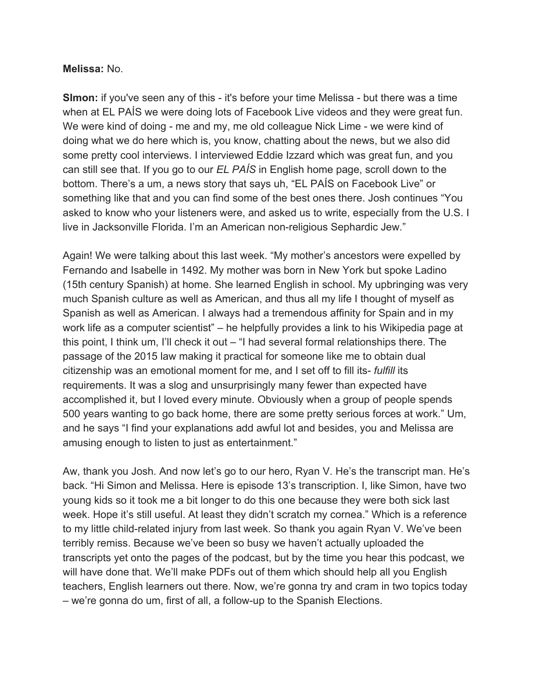## **Melissa:** No.

**SImon:** if you've seen any of this - it's before your time Melissa - but there was a time when at EL PAÍS we were doing lots of Facebook Live videos and they were great fun. We were kind of doing - me and my, me old colleague Nick Lime - we were kind of doing what we do here which is, you know, chatting about the news, but we also did some pretty cool interviews. I interviewed Eddie Izzard which was great fun, and you can still see that. If you go to our *EL PAÍS* in English home page, scroll down to the bottom. There's a um, a news story that says uh, "EL PAÍS on Facebook Live" or something like that and you can find some of the best ones there. Josh continues "You asked to know who your listeners were, and asked us to write, especially from the U.S. I live in Jacksonville Florida. I'm an American non-religious Sephardic Jew."

Again! We were talking about this last week. "My mother's ancestors were expelled by Fernando and Isabelle in 1492. My mother was born in New York but spoke Ladino (15th century Spanish) at home. She learned English in school. My upbringing was very much Spanish culture as well as American, and thus all my life I thought of myself as Spanish as well as American. I always had a tremendous affinity for Spain and in my work life as a computer scientist" – he helpfully provides a link to his Wikipedia page at this point, I think um, I'll check it out – "I had several formal relationships there. The passage of the 2015 law making it practical for someone like me to obtain dual citizenship was an emotional moment for me, and I set off to fill its- *fulfill* its requirements. It was a slog and unsurprisingly many fewer than expected have accomplished it, but I loved every minute. Obviously when a group of people spends 500 years wanting to go back home, there are some pretty serious forces at work." Um, and he says "I find your explanations add awful lot and besides, you and Melissa are amusing enough to listen to just as entertainment."

Aw, thank you Josh. And now let's go to our hero, Ryan V. He's the transcript man. He's back. "Hi Simon and Melissa. Here is episode 13's transcription. I, like Simon, have two young kids so it took me a bit longer to do this one because they were both sick last week. Hope it's still useful. At least they didn't scratch my cornea." Which is a reference to my little child-related injury from last week. So thank you again Ryan V. We've been terribly remiss. Because we've been so busy we haven't actually uploaded the transcripts yet onto the pages of the podcast, but by the time you hear this podcast, we will have done that. We'll make PDFs out of them which should help all you English teachers, English learners out there. Now, we're gonna try and cram in two topics today – we're gonna do um, first of all, a follow-up to the Spanish Elections.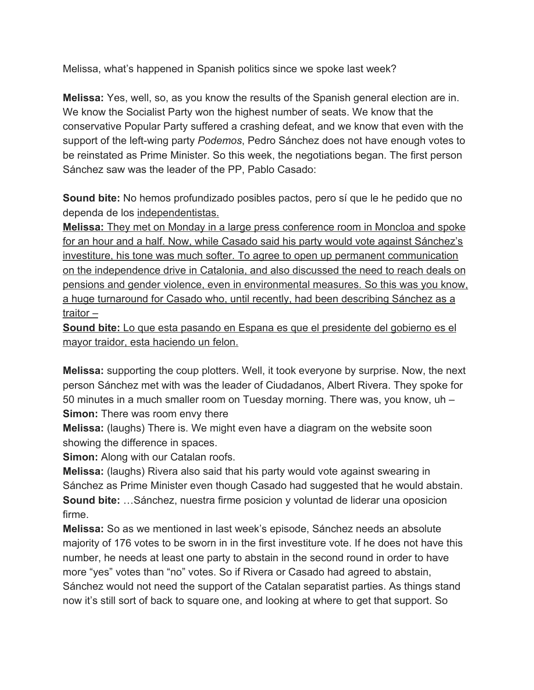Melissa, what's happened in Spanish politics since we spoke last week?

**Melissa:** Yes, well, so, as you know the results of the Spanish general election are in. We know the Socialist Party won the highest number of seats. We know that the conservative Popular Party suffered a crashing defeat, and we know that even with the support of the left-wing party *Podemos*, Pedro Sánchez does not have enough votes to be reinstated as Prime Minister. So this week, the negotiations began. The first person Sánchez saw was the leader of the PP, Pablo Casado:

**Sound bite:** No hemos profundizado posibles pactos, pero sí que le he pedido que no dependa de los [independentistas.](https://en.wiktionary.org/wiki/independistas)

**[Melissa:](https://en.wiktionary.org/wiki/independistas)** [They met on Monday in a large press conference room in Moncloa and spoke](https://en.wiktionary.org/wiki/independistas) [for an hour and a half. Now, while Casado said his party would vote against Sánchez's](https://en.wiktionary.org/wiki/independistas) [investiture, his tone was much softer. To agree to open up permanent communication](https://en.wiktionary.org/wiki/independistas) [on the independence drive in Catalonia, and also discussed the need to reach deals on](https://en.wiktionary.org/wiki/independistas) [pensions and gender violence, even in environmental measures. So this was you know,](https://en.wiktionary.org/wiki/independistas) [a huge turnaround for Casado who, until recently, had been describing Sánchez as a](https://en.wiktionary.org/wiki/independistas) [traitor –](https://en.wiktionary.org/wiki/independistas)

**[Sound bite:](https://en.wiktionary.org/wiki/independistas)** [Lo que esta pasando en Espana es que el presidente del gobierno es el](https://en.wiktionary.org/wiki/independistas) [mayor traidor, esta haciendo un felon.](https://en.wiktionary.org/wiki/independistas)

**Melissa:** supporting the coup plotters. Well, it took everyone by surprise. Now, the next person Sánchez met with was the leader of Ciudadanos, Albert Rivera. They spoke for 50 minutes in a much smaller room on Tuesday morning. There was, you know, uh – **Simon:** There was room envy there

**Melissa:** (laughs) There is. We might even have a diagram on the website soon showing the difference in spaces.

**Simon:** Along with our Catalan roofs.

**Melissa:** (laughs) Rivera also said that his party would vote against swearing in Sánchez as Prime Minister even though Casado had suggested that he would abstain. **Sound bite:** …Sánchez, nuestra firme posicion y voluntad de liderar una oposicion firme.

**Melissa:** So as we mentioned in last week's episode, Sánchez needs an absolute majority of 176 votes to be sworn in in the first investiture vote. If he does not have this number, he needs at least one party to abstain in the second round in order to have more "yes" votes than "no" votes. So if Rivera or Casado had agreed to abstain, Sánchez would not need the support of the Catalan separatist parties. As things stand now it's still sort of back to square one, and looking at where to get that support. So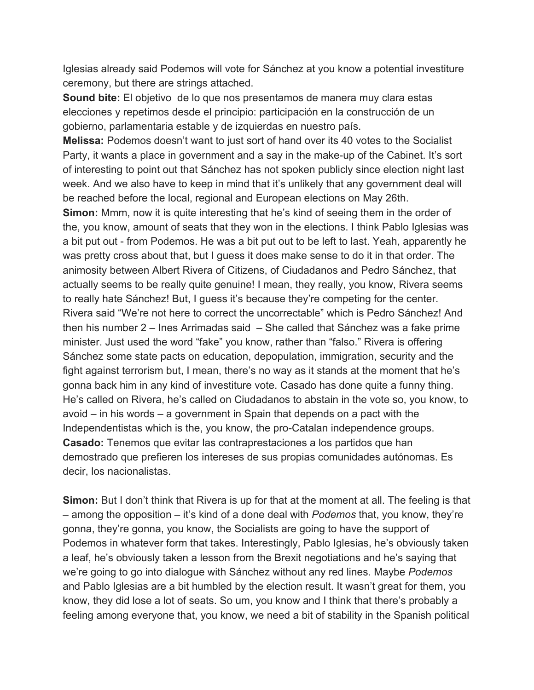Iglesias already said Podemos will vote for Sánchez at you know a potential investiture ceremony, but there are strings attached.

**Sound bite:** El objetivo de lo que nos presentamos de manera muy clara estas elecciones y repetimos desde el principio: participación en la construcción de un gobierno, parlamentaria estable y de izquierdas en nuestro país.

**Melissa:** Podemos doesn't want to just sort of hand over its 40 votes to the Socialist Party, it wants a place in government and a say in the make-up of the Cabinet. It's sort of interesting to point out that Sánchez has not spoken publicly since election night last week. And we also have to keep in mind that it's unlikely that any government deal will be reached before the local, regional and European elections on May 26th.

**Simon:** Mmm, now it is quite interesting that he's kind of seeing them in the order of the, you know, amount of seats that they won in the elections. I think Pablo Iglesias was a bit put out - from Podemos. He was a bit put out to be left to last. Yeah, apparently he was pretty cross about that, but I guess it does make sense to do it in that order. The animosity between Albert Rivera of Citizens, of Ciudadanos and Pedro Sánchez, that actually seems to be really quite genuine! I mean, they really, you know, Rivera seems to really hate Sánchez! But, I guess it's because they're competing for the center. Rivera said "We're not here to correct the uncorrectable" which is Pedro Sánchez! And then his number 2 – Ines Arrimadas said – She called that Sánchez was a fake prime minister. Just used the word "fake" you know, rather than "falso." Rivera is offering Sánchez some state pacts on education, depopulation, immigration, security and the fight against terrorism but, I mean, there's no way as it stands at the moment that he's gonna back him in any kind of investiture vote. Casado has done quite a funny thing. He's called on Rivera, he's called on Ciudadanos to abstain in the vote so, you know, to avoid – in his words – a government in Spain that depends on a pact with the Independentistas which is the, you know, the pro-Catalan independence groups. **Casado:** Tenemos que evitar las contraprestaciones a los partidos que han demostrado que prefieren los intereses de sus propias comunidades autónomas. Es decir, los nacionalistas.

**Simon:** But I don't think that Rivera is up for that at the moment at all. The feeling is that – among the opposition – it's kind of a done deal with *Podemos* that, you know, they're gonna, they're gonna, you know, the Socialists are going to have the support of Podemos in whatever form that takes. Interestingly, Pablo Iglesias, he's obviously taken a leaf, he's obviously taken a lesson from the Brexit negotiations and he's saying that we're going to go into dialogue with Sánchez without any red lines. Maybe *Podemos* and Pablo Iglesias are a bit humbled by the election result. It wasn't great for them, you know, they did lose a lot of seats. So um, you know and I think that there's probably a feeling among everyone that, you know, we need a bit of stability in the Spanish political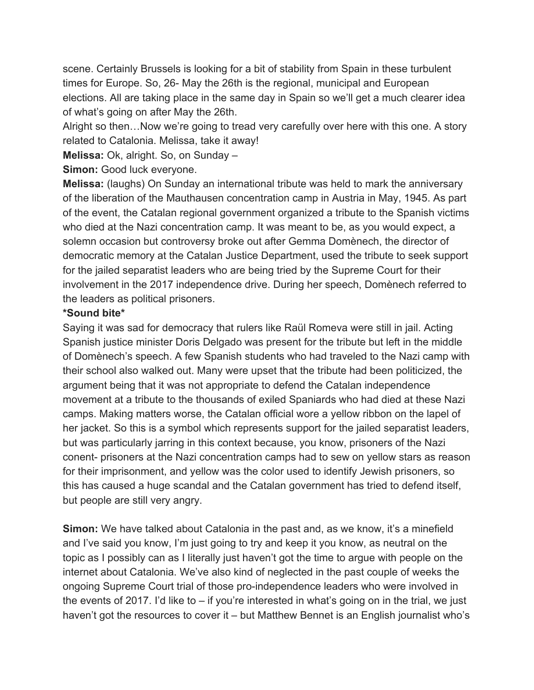scene. Certainly Brussels is looking for a bit of stability from Spain in these turbulent times for Europe. So, 26- May the 26th is the regional, municipal and European elections. All are taking place in the same day in Spain so we'll get a much clearer idea of what's going on after May the 26th.

Alright so then…Now we're going to tread very carefully over here with this one. A story related to Catalonia. Melissa, take it away!

**Melissa:** Ok, alright. So, on Sunday –

**Simon:** Good luck everyone.

**Melissa:** (laughs) On Sunday an international tribute was held to mark the anniversary of the liberation of the Mauthausen concentration camp in Austria in May, 1945. As part of the event, the Catalan regional government organized a tribute to the Spanish victims who died at the Nazi concentration camp. It was meant to be, as you would expect, a solemn occasion but controversy broke out after Gemma Domènech, the director of democratic memory at the Catalan Justice Department, used the tribute to seek support for the jailed separatist leaders who are being tried by the Supreme Court for their involvement in the 2017 independence drive. During her speech, Domènech referred to the leaders as political prisoners.

## **\*Sound bite\***

Saying it was sad for democracy that rulers like Raül Romeva were still in jail. Acting Spanish justice minister Doris Delgado was present for the tribute but left in the middle of Domènech's speech. A few Spanish students who had traveled to the Nazi camp with their school also walked out. Many were upset that the tribute had been politicized, the argument being that it was not appropriate to defend the Catalan independence movement at a tribute to the thousands of exiled Spaniards who had died at these Nazi camps. Making matters worse, the Catalan official wore a yellow ribbon on the lapel of her jacket. So this is a symbol which represents support for the jailed separatist leaders, but was particularly jarring in this context because, you know, prisoners of the Nazi conent- prisoners at the Nazi concentration camps had to sew on yellow stars as reason for their imprisonment, and yellow was the color used to identify Jewish prisoners, so this has caused a huge scandal and the Catalan government has tried to defend itself, but people are still very angry.

**Simon:** We have talked about Catalonia in the past and, as we know, it's a minefield and I've said you know, I'm just going to try and keep it you know, as neutral on the topic as I possibly can as I literally just haven't got the time to argue with people on the internet about Catalonia. We've also kind of neglected in the past couple of weeks the ongoing Supreme Court trial of those pro-independence leaders who were involved in the events of 2017. I'd like to – if you're interested in what's going on in the trial, we just haven't got the resources to cover it – but Matthew Bennet is an English journalist who's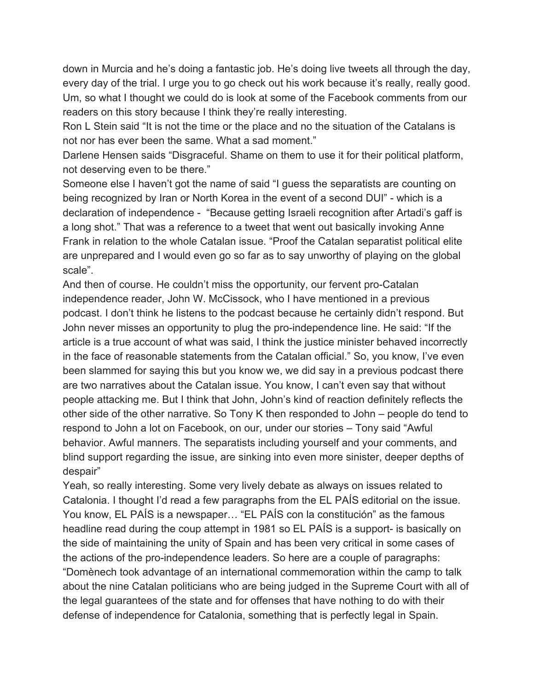down in Murcia and he's doing a fantastic job. He's doing live tweets all through the day, every day of the trial. I urge you to go check out his work because it's really, really good. Um, so what I thought we could do is look at some of the Facebook comments from our readers on this story because I think they're really interesting.

Ron L Stein said "It is not the time or the place and no the situation of the Catalans is not nor has ever been the same. What a sad moment."

Darlene Hensen saids "Disgraceful. Shame on them to use it for their political platform, not deserving even to be there."

Someone else I haven't got the name of said "I guess the separatists are counting on being recognized by Iran or North Korea in the event of a second DUI" - which is a declaration of independence - "Because getting Israeli recognition after Artadi's gaff is a long shot." That was a reference to a tweet that went out basically invoking Anne Frank in relation to the whole Catalan issue. "Proof the Catalan separatist political elite are unprepared and I would even go so far as to say unworthy of playing on the global scale".

And then of course. He couldn't miss the opportunity, our fervent pro-Catalan independence reader, John W. McCissock, who I have mentioned in a previous podcast. I don't think he listens to the podcast because he certainly didn't respond. But John never misses an opportunity to plug the pro-independence line. He said: "If the article is a true account of what was said, I think the justice minister behaved incorrectly in the face of reasonable statements from the Catalan official." So, you know, I've even been slammed for saying this but you know we, we did say in a previous podcast there are two narratives about the Catalan issue. You know, I can't even say that without people attacking me. But I think that John, John's kind of reaction definitely reflects the other side of the other narrative. So Tony K then responded to John – people do tend to respond to John a lot on Facebook, on our, under our stories – Tony said "Awful behavior. Awful manners. The separatists including yourself and your comments, and blind support regarding the issue, are sinking into even more sinister, deeper depths of despair"

Yeah, so really interesting. Some very lively debate as always on issues related to Catalonia. I thought I'd read a few paragraphs from the EL PAÍS editorial on the issue. You know, EL PAÍS is a newspaper… "EL PAÍS con la constitución" as the famous headline read during the coup attempt in 1981 so EL PAÍS is a support- is basically on the side of maintaining the unity of Spain and has been very critical in some cases of the actions of the pro-independence leaders. So here are a couple of paragraphs: "Domènech took advantage of an international commemoration within the camp to talk about the nine Catalan politicians who are being judged in the Supreme Court with all of the legal guarantees of the state and for offenses that have nothing to do with their defense of independence for Catalonia, something that is perfectly legal in Spain.